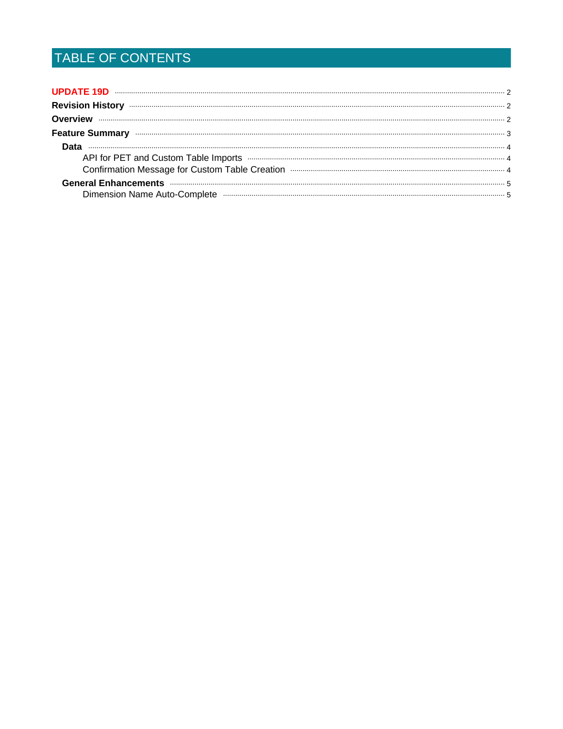# TABLE OF CONTENTS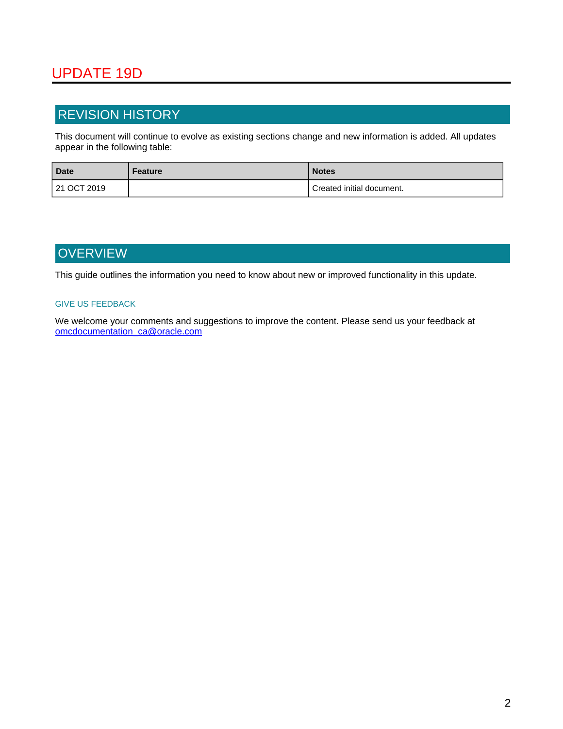## <span id="page-1-0"></span>UPDATE 19D

### <span id="page-1-1"></span>REVISION HISTORY

This document will continue to evolve as existing sections change and new information is added. All updates appear in the following table:

| <b>Date</b> | Feature | <b>Notes</b>              |
|-------------|---------|---------------------------|
| 21 OCT 2019 |         | Created initial document. |

## <span id="page-1-2"></span>**OVERVIEW**

This guide outlines the information you need to know about new or improved functionality in this update.

#### GIVE US FEEDBACK

We welcome your comments and suggestions to improve the content. Please send us your feedback at omcdocumentation\_ca@oracle.com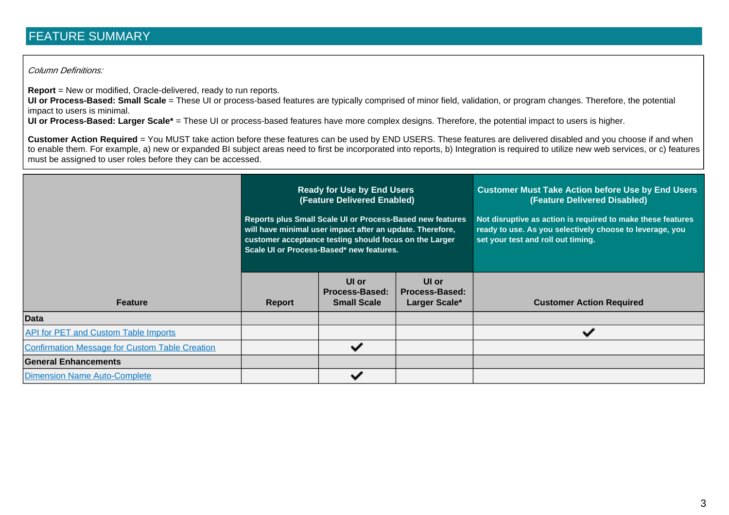## FEATURE SUMMARY

#### Column Definitions:

**Report** = New or modified, Oracle-delivered, ready to run reports.

**UI or Process-Based: Small Scale** = These UI or process-based features are typically comprised of minor field, validation, or program changes. Therefore, the potential impact to users is minimal.

**UI or Process-Based: Larger Scale\*** = These UI or process-based features have more complex designs. Therefore, the potential impact to users is higher.

**Customer Action Required** = You MUST take action before these features can be used by END USERS. These features are delivered disabled and you choose if and when to enable them. For example, a) new or expanded BI subject areas need to first be incorporated into reports, b) Integration is required to utilize new web services, or c) features must be assigned to user roles before they can be accessed.

<span id="page-2-0"></span>

|                                                       | <b>Ready for Use by End Users</b><br>(Feature Delivered Enabled)<br>Reports plus Small Scale UI or Process-Based new features<br>will have minimal user impact after an update. Therefore,<br>customer acceptance testing should focus on the Larger<br>Scale UI or Process-Based* new features. |                                                      |                                                 | <b>Customer Must Take Action before Use by End Users</b><br>(Feature Delivered Disabled)<br>Not disruptive as action is required to make these features<br>ready to use. As you selectively choose to leverage, you<br>set your test and roll out timing. |
|-------------------------------------------------------|--------------------------------------------------------------------------------------------------------------------------------------------------------------------------------------------------------------------------------------------------------------------------------------------------|------------------------------------------------------|-------------------------------------------------|-----------------------------------------------------------------------------------------------------------------------------------------------------------------------------------------------------------------------------------------------------------|
| <b>Feature</b>                                        | <b>Report</b>                                                                                                                                                                                                                                                                                    | UI or<br><b>Process-Based:</b><br><b>Small Scale</b> | UI or<br><b>Process-Based:</b><br>Larger Scale* | <b>Customer Action Required</b>                                                                                                                                                                                                                           |
| <b>Data</b>                                           |                                                                                                                                                                                                                                                                                                  |                                                      |                                                 |                                                                                                                                                                                                                                                           |
| <b>API for PET and Custom Table Imports</b>           |                                                                                                                                                                                                                                                                                                  |                                                      |                                                 | ັ                                                                                                                                                                                                                                                         |
| <b>Confirmation Message for Custom Table Creation</b> |                                                                                                                                                                                                                                                                                                  | ✓                                                    |                                                 |                                                                                                                                                                                                                                                           |
| <b>General Enhancements</b>                           |                                                                                                                                                                                                                                                                                                  |                                                      |                                                 |                                                                                                                                                                                                                                                           |
| Dimension Name Auto-Complete                          |                                                                                                                                                                                                                                                                                                  |                                                      |                                                 |                                                                                                                                                                                                                                                           |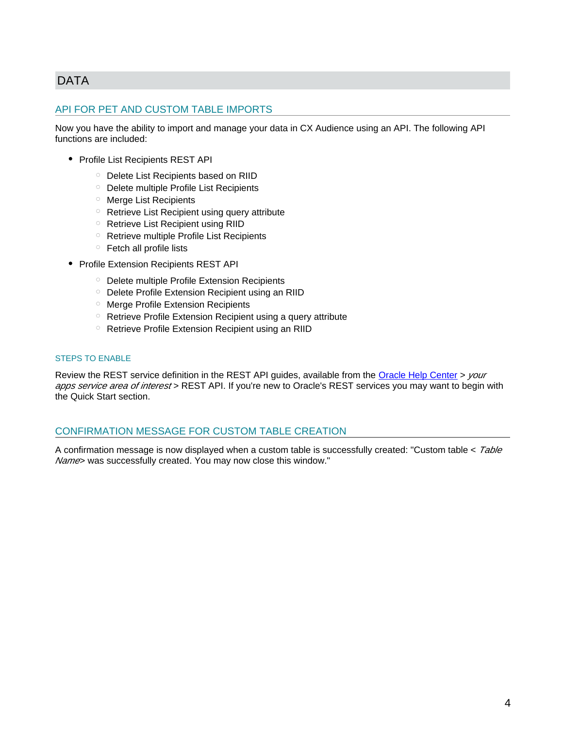### <span id="page-3-4"></span><span id="page-3-3"></span><span id="page-3-0"></span>DATA

### <span id="page-3-1"></span>API FOR PET AND CUSTOM TABLE IMPORTS

Now you have the ability to import and manage your data in CX Audience using an API. The following API functions are included:

- Profile List Recipients REST API
	- Delete List Recipients based on RIID
	- Delete multiple Profile List Recipients
	- Merge List Recipients
	- o Retrieve List Recipient using query attribute
	- $\circ$  Retrieve List Recipient using RIID
	- Retrieve multiple Profile List Recipients
	- $\circ$  Fetch all profile lists
- <span id="page-3-5"></span>• Profile Extension Recipients REST API
	- Delete multiple Profile Extension Recipients
	- $\circ$  Delete Profile Extension Recipient using an RIID
	- Merge Profile Extension Recipients
	- Retrieve Profile Extension Recipient using a query attribute
	- o Retrieve Profile Extension Recipient using an RIID

#### STEPS TO ENABLE

Review the REST service definition in the REST API guides, available from the [Oracle Help Center](https://docs.oracle.com/en/) > your apps service area of interest > REST API. If you're new to Oracle's REST services you may want to begin with the Quick Start section.

#### <span id="page-3-2"></span>CONFIRMATION MESSAGE FOR CUSTOM TABLE CREATION

A confirmation message is now displayed when a custom table is successfully created: "Custom table < Table Name> was successfully created. You may now close this window."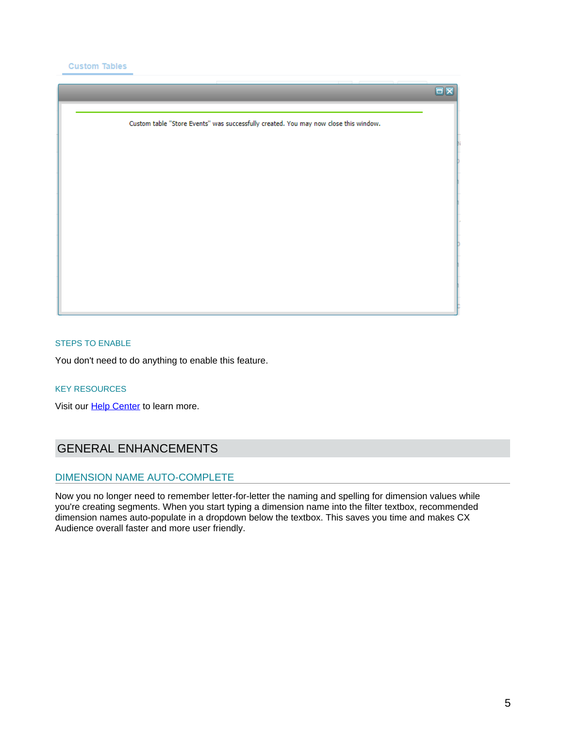**Custom Tables** 



#### <span id="page-4-3"></span><span id="page-4-2"></span>STEPS TO ENABLE

You don't need to do anything to enable this feature.

#### KEY RESOURCES

Visit our **[Help Center](https://docs.oracle.com/cloud/latest/marketingcs_gs/OMCEH/index.html#cshid=FileNewMethodSelect)** to learn more.

### <span id="page-4-0"></span>GENERAL ENHANCEMENTS

#### <span id="page-4-1"></span>DIMENSION NAME AUTO-COMPLETE

Now you no longer need to remember letter-for-letter the naming and spelling for dimension values while you're creating segments. When you start typing a dimension name into the filter textbox, recommended dimension names auto-populate in a dropdown below the textbox. This saves you time and makes CX Audience overall faster and more user friendly.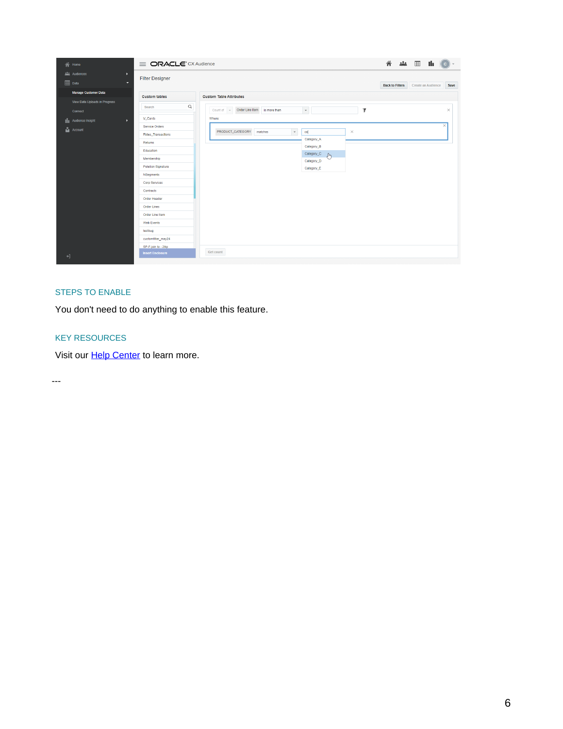| $\bigwedge$ Home                                        | <b>E ORACLE</b> CX Audience | 谷<br>$\frac{1}{2}$ $\frac{1}{2}$ $\frac{1}{2}$ $\frac{1}{2}$ $\frac{1}{2}$<br>-ala<br>c l<br>$\mathbf{v}$ |                                                      |  |  |  |
|---------------------------------------------------------|-----------------------------|-----------------------------------------------------------------------------------------------------------|------------------------------------------------------|--|--|--|
| <b>Audiences</b><br>$\mathbf{F}$<br><b>ED</b> Data<br>ы | <b>Filter Designer</b>      |                                                                                                           | Create an Audience<br><b>Back to Filters</b><br>Save |  |  |  |
| Manage Customer Data                                    | <b>Custom tables</b>        | <b>Custom Table Attributes</b>                                                                            |                                                      |  |  |  |
| View Data Uploads in Progress<br>Connect                | $\hbox{\tt Q}$<br>Search    | $\bar{\phantom{a}}$<br>Y<br>Count of v Order Line Item is more than                                       | $\times$                                             |  |  |  |
| <b>III</b> Audience Insight<br>$\mathbf{F}$             | V Cards<br>Where:           |                                                                                                           |                                                      |  |  |  |
| Account                                                 | Service Orders              |                                                                                                           | $\geq$                                               |  |  |  |
|                                                         | Rides_Transactions          | $\bar{\phantom{a}}$<br>PRODUCT_CATEGORY matches<br>$\times$<br>ca                                         |                                                      |  |  |  |
|                                                         | Returns                     | Category_A<br>Category_B                                                                                  |                                                      |  |  |  |
|                                                         | Education                   | Category_C                                                                                                |                                                      |  |  |  |
|                                                         | Membership                  | والج<br>Category_D                                                                                        |                                                      |  |  |  |
|                                                         | <b>Petetion Signature</b>   | Category_E                                                                                                |                                                      |  |  |  |
|                                                         | NSegments                   |                                                                                                           |                                                      |  |  |  |
|                                                         | <b>Corp Services</b>        |                                                                                                           |                                                      |  |  |  |
|                                                         | Contracts                   |                                                                                                           |                                                      |  |  |  |
|                                                         | Order Header                |                                                                                                           |                                                      |  |  |  |
|                                                         | <b>Order Lines</b>          |                                                                                                           |                                                      |  |  |  |
|                                                         | Order Line Item             |                                                                                                           |                                                      |  |  |  |
|                                                         | <b>Web Events</b>           |                                                                                                           |                                                      |  |  |  |
|                                                         | testbug                     |                                                                                                           |                                                      |  |  |  |
|                                                         | customfilter_may24          |                                                                                                           |                                                      |  |  |  |
|                                                         | SP-F-join to - 2lkp         |                                                                                                           |                                                      |  |  |  |
| $+1$                                                    | <b>Insert Enclosure</b>     | Get count                                                                                                 |                                                      |  |  |  |

#### STEPS TO ENABLE

You don't need to do anything to enable this feature.

#### KEY RESOURCES

Visit our **[Help Center](https://docs.oracle.com/cloud/latest/marketingcs_gs/OMCEH/index.html#cshid=Filters_Attributes_CustomTables)** to learn more.

---